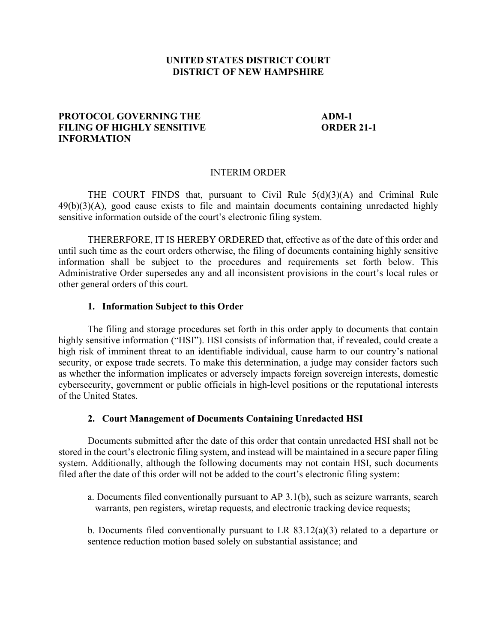### **UNITED STATES DISTRICT COURT DISTRICT OF NEW HAMPSHIRE**

# **PROTOCOL GOVERNING THE ADM-1 FILING OF HIGHLY SENSITIVE ORDER 21-1 INFORMATION**

### INTERIM ORDER

THE COURT FINDS that, pursuant to Civil Rule  $5(d)(3)(A)$  and Criminal Rule 49(b)(3)(A), good cause exists to file and maintain documents containing unredacted highly sensitive information outside of the court's electronic filing system.

THERERFORE, IT IS HEREBY ORDERED that, effective as of the date of this order and until such time as the court orders otherwise, the filing of documents containing highly sensitive information shall be subject to the procedures and requirements set forth below. This Administrative Order supersedes any and all inconsistent provisions in the court's local rules or other general orders of this court.

### **1. Information Subject to this Order**

The filing and storage procedures set forth in this order apply to documents that contain highly sensitive information ("HSI"). HSI consists of information that, if revealed, could create a high risk of imminent threat to an identifiable individual, cause harm to our country's national security, or expose trade secrets. To make this determination, a judge may consider factors such as whether the information implicates or adversely impacts foreign sovereign interests, domestic cybersecurity, government or public officials in high-level positions or the reputational interests of the United States.

### **2. Court Management of Documents Containing Unredacted HSI**

Documents submitted after the date of this order that contain unredacted HSI shall not be stored in the court's electronic filing system, and instead will be maintained in a secure paper filing system. Additionally, although the following documents may not contain HSI, such documents filed after the date of this order will not be added to the court's electronic filing system:

a. Documents filed conventionally pursuant to AP 3.1(b), such as seizure warrants, search warrants, pen registers, wiretap requests, and electronic tracking device requests;

b. Documents filed conventionally pursuant to LR 83.12(a)(3) related to a departure or sentence reduction motion based solely on substantial assistance; and